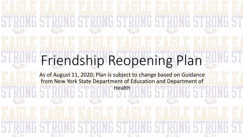### Friendship Reopening Plan

As of August 11, 2020; Plan is subject to change based on Guidance from New York State Department of Education and Department of Health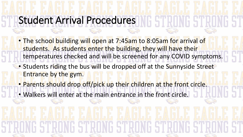### Student Arrival Procedures

- The school building will open at 7:45am to 8:05am for arrival of students. As students enter the building, they will have their temperatures checked and will be screened for any COVID symptoms.
- Students riding the bus will be dropped off at the Sunnyside Street Entrance by the gym.
- Parents should drop off/pick up their children at the front circle.
- Walkers will enter at the main entrance in the front circle.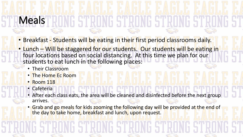# Meals

- Breakfast Students will be eating in their first period classrooms daily.
- Lunch Will be staggered for our students. Our students will be eating in four locations based on social distancing. At this time we plan for our students to eat lunch in the following places:
	- Their Classroom
	- The Home Ec Room
	- Room 118
	- Cafeteria
	- After each class eats, the area will be cleaned and disinfected before the next group arrives.
	- Grab and go meals for kids zooming the following day will be provided at the end of the day to take home, breakfast and lunch, upon request.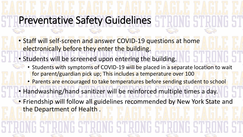#### Preventative Safety Guidelines

- Staff will self-screen and answer COVID-19 questions at home electronically before they enter the building.
- Students will be screened upon entering the building.
	- Students with symptoms of COVID-19 will be placed in a separate location to wait for parent/guardian pick up; This includes a temperature over 100
		- Parents are encouraged to take temperatures before sending student to school
- Handwashing/hand sanitizer will be reinforced multiple times a day.
- Friendship will follow all guidelines recommended by New York State and the Department of Health.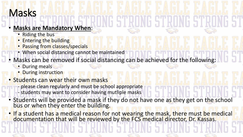#### Masks

#### • **Masks are Mandatory When**:

- **Riding the bus**
- **Entering the building**
- Passing from classes/specials
- When social distancing cannot be maintained
- Masks can be removed if social distancing can be achieved for the following:
	- During meals
	- **During instruction**
	- Students can wear their own masks
		- please clean regularly and must be school appropriate
		- students may want to consider having mutliple masks
	- Students will be provided a mask if they do not have one as they get on the school bus or when they enter the building.

• If a student has a medical reason for not wearing the mask, there must be medical documentation that will be reviewed by the FCS medical director, Dr. Kassas.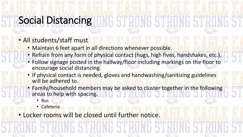### Social Distancing

#### • All students/staff must

- Maintain 6 feet apart in all directions whenever possible.
- Refrain from any form of physical contact (hugs, high fives, handshakes, etc.).
- Follow signage posted in the hallway/floor including markings on the floor to encourage social distancing.
- If physical contact is needed, gloves and handwashing/sanitizing guidelines will be adhered to.
- Family/household members may be asked to cluster together in the following areas to help with spacing.
	- Bus
	- **Cafeteria**

• Locker rooms will be closed until further notice.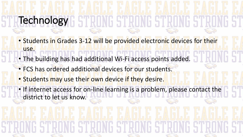# **Technology**

- Students in Grades 3-12 will be provided electronic devices for their use.
- The building has had additional Wi-Fi access points added.
	- FCS has ordered additional devices for our students.
	- Students may use their own device if they desire.
	- If internet access for on-line learning is a problem, please contact the district to let us know.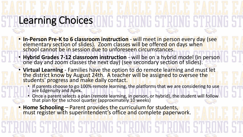### Learning Choices

- **In-Person Pre-K to 6 classroom instruction** will meet in person every day (see elementary section of slides). Zoom classes will be offered on days when school cannot be in session due to unforeseen circumstances.
- **Hybrid Grades 7-12 classroom instruction** will be on a hybrid model (in person one day and zoom classes the next day) (see secondary section of slides).
- **Virtual Learning**  Families have the option to do remote learning and must let the district know by August 24th. A teacher will be assigned to oversee the students' progress and make daily contact.
	- If parents choose to go 100% remote learning, the platforms that we are considering to use are Edgenuity and Apex.
	- Once a parent selects a plan (remote learning, in person, or hybrid), the student will follow that plan for the school quarter (approximately 10 weeks)
- **Home Schooling** Parent provides the curriculum for students, must register with superintendent's office and complete paperwork.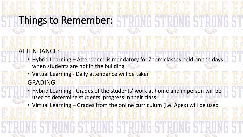#### Things to Remember:

#### ATTENDANCE:

- Hybrid Learning Attendance is mandatory for Zoom classes held on the days when students are not in the building
- Virtual Learning Daily attendance will be taken GRADING:
- Hybrid Learning Grades of the students' work at home and in person will be used to determine students' progress in their class
- Virtual Learning Grades from the online curriculum (i.e. Apex) will be used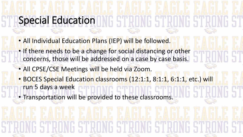### Special Education

- All Individual Education Plans (IEP) will be followed.
- If there needs to be a change for social distancing or other concerns, those will be addressed on a case by case basis.
	- All CPSE/CSE Meetings will be held via Zoom.
	- BOCES Special Education classrooms (12:1:1, 8:1:1, 6:1:1, etc.) will run 5 days a week
	- Transportation will be provided to these classrooms.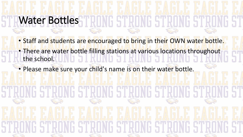### Water Bottles

- Staff and students are encouraged to bring in their OWN water bottle. • There are water bottle filling stations at various locations throughout the school.
- Please make sure your child's name is on their water bottle.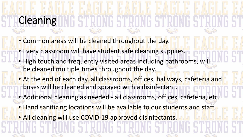## **Cleaning**

- Common areas will be cleaned throughout the day.
- Every classroom will have student safe cleaning supplies.
- High touch and frequently visited areas including bathrooms, will be cleaned multiple times throughout the day.
- At the end of each day, all classrooms, offices, hallways, cafeteria and buses will be cleaned and sprayed with a disinfectant.
- Additional cleaning as needed all classrooms, offices, cafeteria, etc.
- Hand sanitizing locations will be available to our students and staff.
- All cleaning will use COVID-19 approved disinfectants.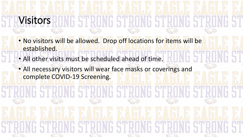## Visitors

- No visitors will be allowed. Drop off locations for items will be established.
- All other visits must be scheduled ahead of time.
- All necessary visitors will wear face masks or coverings and complete COVID-19 Screening.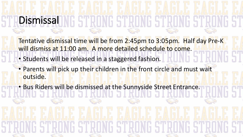# **Dismissal**

- Tentative dismissal time will be from 2:45pm to 3:05pm. Half day Pre-K will dismiss at 11:00 am. A more detailed schedule to come.
- Students will be released in a staggered fashion.
- Parents will pick up their children in the front circle and must wait outside.
- Bus Riders will be dismissed at the Sunnyside Street Entrance.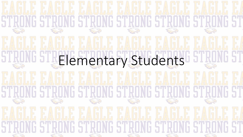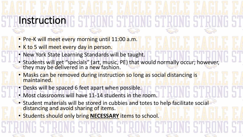### Instruction

- Pre-K will meet every morning until 11:00 a.m.
- K to 5 will meet every day in person.
- New York State Learning Standards will be taught.
- Students will get "specials" (art, music, PE) that would normally occur; however, they may be delivered in a new fashion.
- Masks can be removed during instruction so long as social distancing is maintained.
- Desks will be spaced 6 feet apart when possible.
- Most classrooms will have 11-14 students in the room.
- Student materials will be stored in cubbies and totes to help facilitate social distancing and avoid sharing of items.
- Students should only bring **NECESSARY** items to school.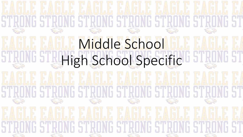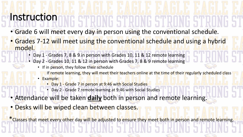#### **Instruction**

• Grade 6 will meet every day in person using the conventional schedule.

- Grades 7-12 will meet using the conventional schedule and using a hybrid model.
	- Day 1 Grades 7, 8 & 9 in person with Grades 10, 11 & 12 remote learning
	- Day 2 Grades 10, 11 & 12 in person with Grades 7, 8 & 9 remote learning
		- If in person, they follow their schedule
		- If remote learning, they will meet their teachers online at the time of their regularly scheduled class
		- Example:
			- Day 1 Grade 7 in person at 9:46 with Social Studies
			- Day 2 Grade 7 remote learning at 9:46 with Social Studies
- Attendance will be taken daily both in person and remote learning.
	- Desks will be wiped clean between classes.

\*Classes that meet every other day will be adjusted to ensure they meet both in person and remote learning.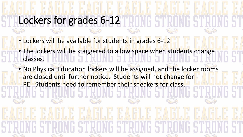### Lockers for grades 6-12

- Lockers will be available for students in grades 6-12.
- The lockers will be staggered to allow space when students change classes.
	- No Physical Education lockers will be assigned, and the locker rooms are closed until further notice. Students will not change for PE. Students need to remember their sneakers for class.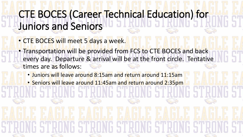#### CTE BOCES (Career Technical Education) for Juniors and Seniors

- CTE BOCES will meet 5 days a week.
- Transportation will be provided from FCS to CTE BOCES and back every day. Departure & arrival will be at the front circle. Tentative times are as follows:
	- Juniors will leave around 8:15am and return around 11:15am
	- Seniors will leave around 11:45am and return around 2:35pm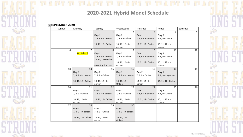

#### 2020-2021 Hybrid Model Schedule

#### **Fig.SEPTEMBER 2020**

 $\mathcal{L}(\mathcal{L}(\mathcal{L}(\mathcal{L}(\mathcal{L}(\mathcal{L}(\mathcal{L}(\mathcal{L}(\mathcal{L}(\mathcal{L}(\mathcal{L}(\mathcal{L}(\mathcal{L}(\mathcal{L}(\mathcal{L}(\mathcal{L}(\mathcal{L}(\mathcal{L}(\mathcal{L}(\mathcal{L}(\mathcal{L}(\mathcal{L}(\mathcal{L}(\mathcal{L}(\mathcal{L}(\mathcal{L}(\mathcal{L}(\mathcal{L}(\mathcal{L}(\mathcal{L}(\mathcal{L}(\mathcal{L}(\mathcal{L}(\mathcal{L}(\mathcal{L}(\mathcal{L}(\mathcal{$ 

| Sunday | Monday                | Tuesday                                    | Wednesday                    | Thursday                     | Friday                       | Saturday |
|--------|-----------------------|--------------------------------------------|------------------------------|------------------------------|------------------------------|----------|
|        |                       | $\mathbf{1}$                               | $\overline{2}$               | 3                            | 4                            | 5        |
|        |                       | Day 1                                      | Day 2                        | Day 1                        | Day 2                        |          |
|        |                       | 7, 8, 9 - In person                        | 7, 8, 9 - Online             | 7, 8, 9 - In person          | 7, 8, 9 - Online             |          |
|        |                       | 10, 11, 12 - Online                        | $10, 11, 12 - \ln$<br>person | 10, 11, 12 - Online          | $10, 11, 12 - \ln$<br>person |          |
| 6      | 7                     | 8                                          | 9                            | 10                           | 11                           | 12       |
|        | No School             | Day 1                                      | Day 2                        | Day 1                        | Day 2                        |          |
|        |                       | 7, 8, 9 - In person<br>10, 11, 12 - Online | 7, 8, 9 - Online             | 7, 8, 9 - In person          | 7, 8, 9 - Online             |          |
|        |                       |                                            | $10, 11, 12 - \ln$           | 10, 11, 12 - Online          | $10, 11, 12 - \ln$           |          |
|        |                       | First day for CTE                          | person                       |                              | person                       |          |
| 13     | 14                    | 15                                         | 16                           | 17                           | 18                           | 19       |
|        | Day 1                 | Day 2                                      | Day 1                        | Day 2                        | Day 1                        |          |
|        | 7, 8, 9 - In person   | 7, 8, 9 - Online                           | $7, 8, 9 -$ In person        | 7, 8, 9 - Online             | $7, 8, 9 -$ In person        |          |
|        | 10, 11, 12 - Online   | $10, 11, 12 - \ln$<br>person               | $10, 11, 12 -$<br>Online     | $10, 11, 12 - \ln$<br>person | 10, 11, 12 - Online          |          |
| 20     | 21                    | 22                                         | 23                           | 24                           | 25                           | 26       |
|        | Day 2                 | Day 1                                      | Day 2                        | Day 1                        | Day 2                        |          |
|        | 7, 8, 9 - Online      | $7, 8, 9 -$ In person                      | 7, 8, 9 - Online             | $7, 8, 9 -$ In person        | 7, 8, 9 - Online             |          |
|        | $10, 11, 12 - \ln$    | 10, 11, 12 - Online                        | $10, 11, 12 - \ln$           | 10, 11, 12 - Online          | $10, 11, 12 - \ln$           |          |
|        | person                |                                            | person                       |                              | person                       |          |
| 27     | 28                    | 29                                         | 30                           |                              |                              |          |
|        | Day 1                 | Day 2                                      | Day 1                        |                              |                              |          |
|        | $7, 8, 9 -$ In person | 7, 8, 9 - Online                           | $7, 8, 9 -$ In person        |                              |                              |          |
|        | 10, 11, 12 - Online   | $10, 11, 12 - \ln$                         | $10, 11, 12 -$               |                              |                              |          |
|        |                       | person                                     | Online                       |                              |                              |          |
|        |                       |                                            |                              |                              |                              |          |



Revised 8/11/20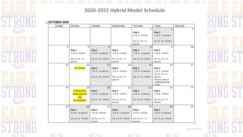

#### 2020-2021 Hybrid Model Schedule

#### **DCTOBER 2020**

| Sunday | Monday                | Tuesday               | Wednesday                    | Thursday              | Friday                      | Saturday |
|--------|-----------------------|-----------------------|------------------------------|-----------------------|-----------------------------|----------|
|        |                       |                       |                              | $\mathbf 1$           | $\overline{2}$              | 3        |
|        |                       |                       |                              | Day 2                 | Day 1                       |          |
|        |                       |                       |                              | 7, 8, 9 - Online      | $7, 8, 9 -$ In person       |          |
|        |                       |                       |                              |                       |                             |          |
|        |                       |                       |                              | $10, 11, 12 - \ln$    | 10, 11, 12 - Online         |          |
| 4      | 5                     | 6                     | 7                            | person<br>8           | 9                           | 10       |
|        | Day 2                 | Day 1                 | Day 2                        | Day 1                 | Day 2                       |          |
|        | 7, 8, 9 - Online      | $7, 8, 9 -$ In person | 7, 8, 9 - Online             | $7, 8, 9 -$ In person | 7, 8, 9 - Online            |          |
|        |                       |                       |                              |                       |                             |          |
|        | $10, 11, 12 - \ln$    | 10, 11, 12 - Online   | $10, 11, 12 - \ln$           | 10, 11, 12 - Online   | $10, 11, 12 - \ln$          |          |
|        | person                |                       | person                       |                       | person                      |          |
| 11     | 12                    | 13                    | 14                           | 15                    | 16                          | 17       |
|        | No School             | Day 1                 | Day 2                        | Day 1                 | Day 2                       |          |
|        |                       | $7, 8, 9 -$ In person | 7, 8, 9 - Online             | 7, 8, 9 - In person   | 7, 8, 9 - Online            |          |
|        |                       |                       |                              |                       | $10, 11, 12 - \ln$          |          |
|        |                       | 10, 11, 12 - Online   | $10, 11, 12 - \ln$           | 10, 11, 12 - Online   | person<br>*Inform school if |          |
|        |                       |                       | person                       |                       | changing learning           |          |
|        |                       |                       |                              |                       | model                       |          |
| 18     | 19                    | 20                    | 21                           | 22                    | 23                          | 24       |
|        | Professional          | Day 1                 | Day 2                        | Day 1                 | Day 2                       |          |
|        | Development           | $7, 8, 9 -$ In person | 7, 8, 9 - Online             | 7, 8, 9 - In person   | 7, 8, 9 - Online            |          |
|        | Day                   |                       |                              |                       |                             |          |
|        | No Students           | 10, 11, 12 - Online   | $10, 11, 12 - \ln$<br>person | 10, 11, 12 - Online   | $10, 11, 12 - \ln$          |          |
|        |                       |                       |                              |                       | person                      |          |
| 25     | 26                    | 27                    | 28                           | 29                    | 30                          | 31       |
|        | Day 1                 | Day 2                 | Day 1                        | Day 2                 | Day 1                       |          |
|        | $7, 8, 9 -$ In person | 7, 8, 9 - Online      | $7, 8, 9 -$ In person        | 7, 8, 9 - Online      | 7, 8, 9 - In person         |          |
|        | 10, 11, 12 - Online   | $10, 11, 12 - \ln$    | 10, 11, 12 - Online          | $10, 11, 12 - \ln$    | 10, 11, 12 - Online         |          |
|        |                       |                       |                              |                       |                             |          |
|        |                       | person                |                              | person                |                             |          |



Revised 8/11/20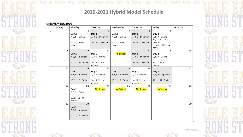

#### 2020-2021 Hybrid Model Schedule

#### **Fig. NOVEMBER 2020**

| Sunday | Monday                | Tuesday             | Wednesday           | Thursday              | Friday                | Saturday |
|--------|-----------------------|---------------------|---------------------|-----------------------|-----------------------|----------|
| 1      | 2                     | 3                   | 4                   | 5                     | 6                     | 7        |
|        | Day 2                 | Day 1               | Day 2               | Day 1                 | Day 2                 |          |
|        | 7, 8, 9 - Online      | 7, 8, 9 - In person | 7, 8, 9 - Online    | 7, 8, 9 - In person   | 7, 8, 9 - Online      |          |
|        |                       |                     |                     |                       | $10, 11, 12 - \ln$    |          |
|        | $10, 11, 12 - \ln$    | 10, 11, 12 - Online | $10, 11, 12 - \ln$  | 10, 11, 12 - Online   | person                |          |
|        | person                |                     | person              |                       | *last day of Marking  |          |
| 8      | $\mathbf{q}$          | 10                  | 11                  | 12                    | period<br>13          | 14       |
|        | Day 1                 | Day 2               | No School           | Day 1                 | Day 2                 |          |
|        | $7, 8, 9 -$ In person | 7, 8, 9 - Online    |                     | $7, 8, 9 -$ In person | 7, 8, 9 - Online      |          |
|        |                       |                     |                     |                       |                       |          |
|        | 10, 11, 12 - Online   | $10, 11, 12 - \ln$  |                     | 10, 11, 12 - Online   | $10, 11, 12 - \ln$    |          |
|        |                       | person              |                     |                       | person                |          |
| 15     | 16                    | 17                  | 18                  | 19                    | 20                    | 21       |
|        | Day 1                 | Day 2               | Day 1               | Day 2                 | Day 1                 |          |
|        | $7, 8, 9 -$ In person | 7, 8, 9 - Online    | 7, 8, 9 - In person | 7, 8, 9 - Online      | $7, 8, 9 -$ In person |          |
|        |                       |                     |                     |                       |                       |          |
|        | 10, 11, 12 - Online   | $10, 11, 12 - \ln$  | 10, 11, 12 - Online | $10, 11, 12 - \ln$    | 10, 11, 12 - Online   |          |
|        |                       | person              |                     | person                |                       |          |
| 22     | 23                    | 24                  | 25                  | 26                    | 27                    | 28       |
|        | Day 2                 | No School           | No School           | No School             | No School             |          |
|        | 7, 8, 9 - Online      |                     |                     |                       |                       |          |
|        | $10, 11, 12 - \ln$    |                     |                     |                       |                       |          |
|        | person                |                     |                     |                       |                       |          |
| 29     | 30                    |                     |                     |                       |                       | 30       |
|        | Day 1                 |                     |                     |                       |                       |          |
|        | $7, 8, 9 -$ In person |                     |                     |                       |                       |          |
|        |                       |                     |                     |                       |                       |          |
|        | 10, 11, 12 - Online   |                     |                     |                       |                       |          |
|        |                       |                     |                     |                       |                       |          |
|        |                       |                     |                     |                       |                       |          |

Revised 8/11/20